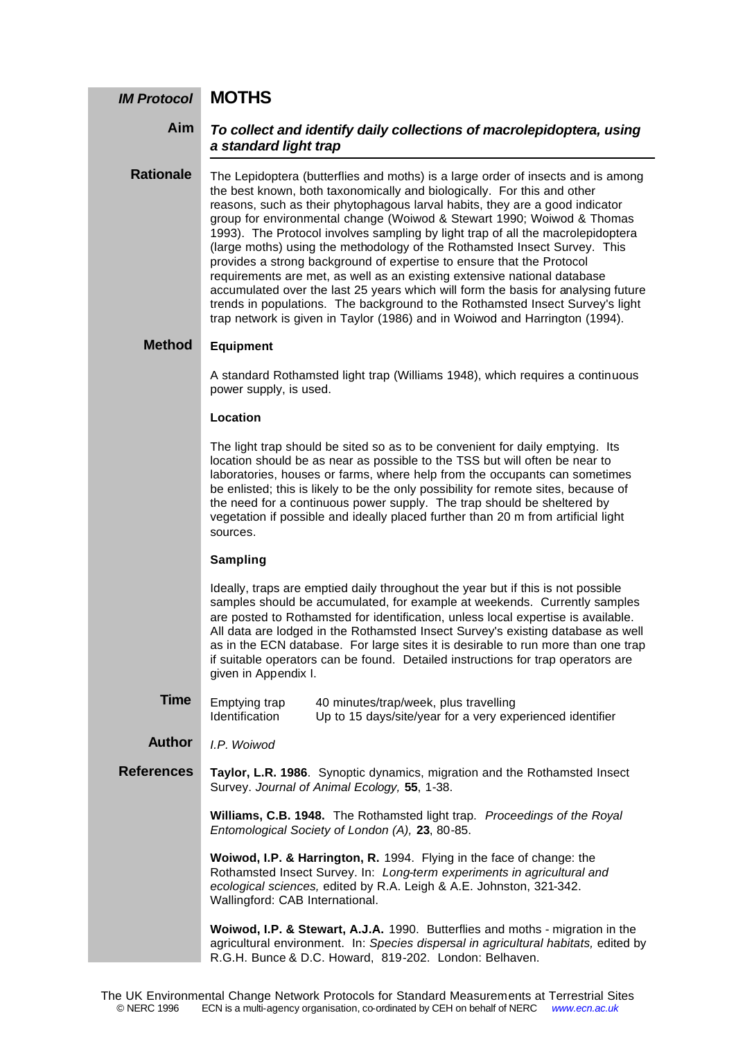#### **MOTHS** *IM Protocol*

#### *To collect and identify daily collections of macrolepidoptera, using a standard light trap* **Aim**

The Lepidoptera (butterflies and moths) is a large order of insects and is among the best known, both taxonomically and biologically. For this and other reasons, such as their phytophagous larval habits, they are a good indicator group for environmental change (Woiwod & Stewart 1990; Woiwod & Thomas 1993). The Protocol involves sampling by light trap of all the macrolepidoptera (large moths) using the methodology of the Rothamsted Insect Survey. This provides a strong background of expertise to ensure that the Protocol requirements are met, as well as an existing extensive national database accumulated over the last 25 years which will form the basis for analysing future trends in populations. The background to the Rothamsted Insect Survey's light trap network is given in Taylor (1986) and in Woiwod and Harrington (1994). **Rationale**

#### **Equipment Method**

A standard Rothamsted light trap (Williams 1948), which requires a continuous power supply, is used.

#### **Location**

The light trap should be sited so as to be convenient for daily emptying. Its location should be as near as possible to the TSS but will often be near to laboratories, houses or farms, where help from the occupants can sometimes be enlisted; this is likely to be the only possibility for remote sites, because of the need for a continuous power supply. The trap should be sheltered by vegetation if possible and ideally placed further than 20 m from artificial light sources.

### **Sampling**

Ideally, traps are emptied daily throughout the year but if this is not possible samples should be accumulated, for example at weekends. Currently samples are posted to Rothamsted for identification, unless local expertise is available. All data are lodged in the Rothamsted Insect Survey's existing database as well as in the ECN database. For large sites it is desirable to run more than one trap if suitable operators can be found. Detailed instructions for trap operators are given in Appendix I.

Emptying trap 40 minutes/trap/week, plus travelling<br>Identification Up to 15 days/site/year for a very exp Up to 15 days/site/year for a very experienced identifier **Time**

*I.P. Woiwod* **Author**

**Taylor, L.R. 1986**. Synoptic dynamics, migration and the Rothamsted Insect Survey. *Journal of Animal Ecology,* **55**, 1-38. **References**

> **Williams, C.B. 1948.** The Rothamsted light trap. *Proceedings of the Royal Entomological Society of London (A),* **23**, 80-85.

**Woiwod, I.P. & Harrington, R.** 1994. Flying in the face of change: the Rothamsted Insect Survey. In: *Long-term experiments in agricultural and ecological sciences,* edited by R.A. Leigh & A.E. Johnston, 321-342. Wallingford: CAB International.

**Woiwod, I.P. & Stewart, A.J.A.** 1990. Butterflies and moths - migration in the agricultural environment. In: *Species dispersal in agricultural habitats,* edited by R.G.H. Bunce & D.C. Howard, 819-202. London: Belhaven.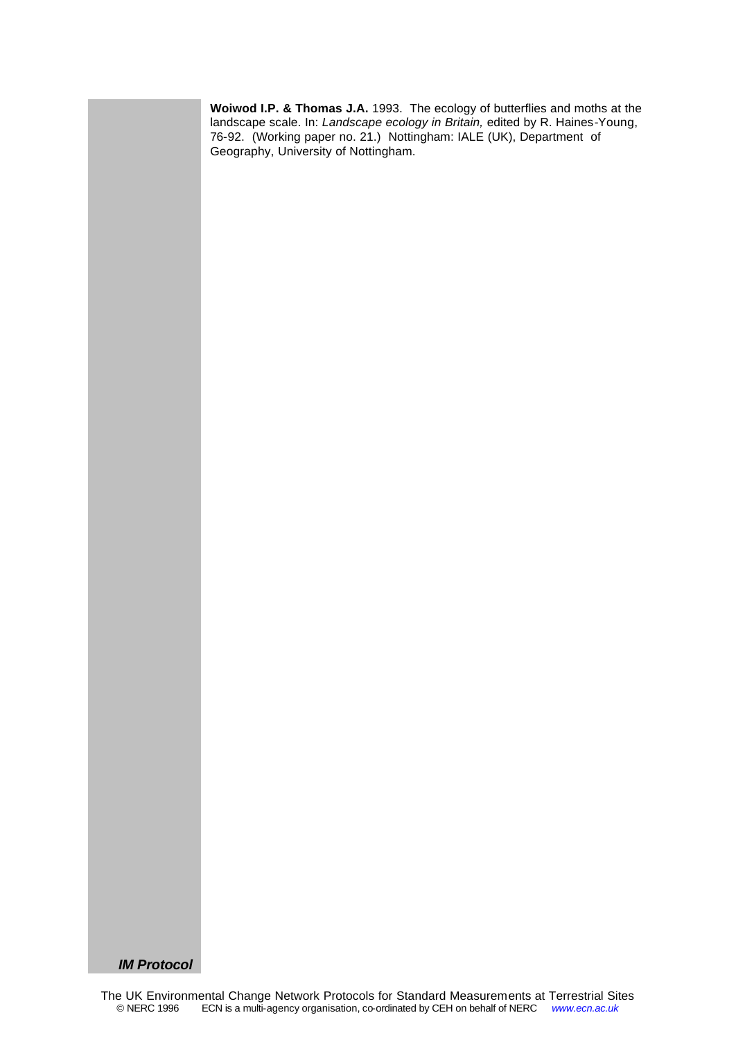**Woiwod I.P. & Thomas J.A.** 1993. The ecology of butterflies and moths at the landscape scale. In: *Landscape ecology in Britain,* edited by R. Haines-Young, 76-92. (Working paper no. 21.) Nottingham: IALE (UK), Department of Geography, University of Nottingham.

*IM Protocol*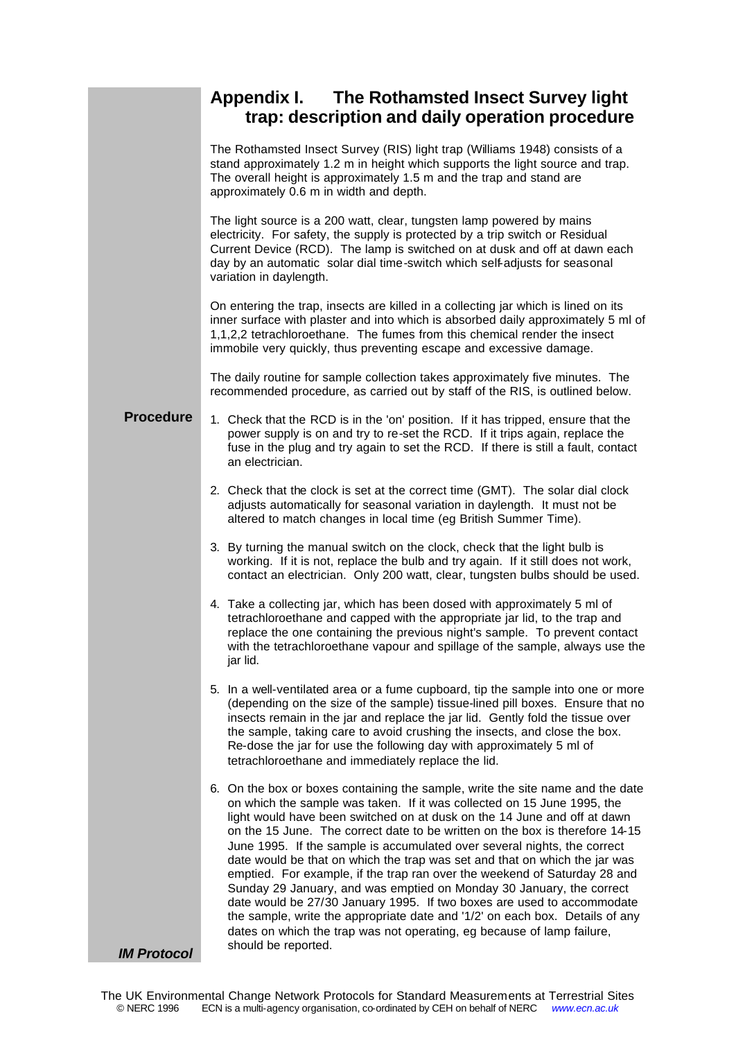# **Appendix I. The Rothamsted Insect Survey light trap: description and daily operation procedure**

|                    | The Rothamsted Insect Survey (RIS) light trap (Williams 1948) consists of a<br>stand approximately 1.2 m in height which supports the light source and trap.<br>The overall height is approximately 1.5 m and the trap and stand are<br>approximately 0.6 m in width and depth.                                                                                                                                                                                                                                                                                                                                                                                                                                                                                                                                                                                          |
|--------------------|--------------------------------------------------------------------------------------------------------------------------------------------------------------------------------------------------------------------------------------------------------------------------------------------------------------------------------------------------------------------------------------------------------------------------------------------------------------------------------------------------------------------------------------------------------------------------------------------------------------------------------------------------------------------------------------------------------------------------------------------------------------------------------------------------------------------------------------------------------------------------|
|                    | The light source is a 200 watt, clear, tungsten lamp powered by mains<br>electricity. For safety, the supply is protected by a trip switch or Residual<br>Current Device (RCD). The lamp is switched on at dusk and off at dawn each<br>day by an automatic solar dial time-switch which self-adjusts for seasonal<br>variation in daylength.                                                                                                                                                                                                                                                                                                                                                                                                                                                                                                                            |
|                    | On entering the trap, insects are killed in a collecting jar which is lined on its<br>inner surface with plaster and into which is absorbed daily approximately 5 ml of<br>1,1,2,2 tetrachloroethane. The fumes from this chemical render the insect<br>immobile very quickly, thus preventing escape and excessive damage.                                                                                                                                                                                                                                                                                                                                                                                                                                                                                                                                              |
|                    | The daily routine for sample collection takes approximately five minutes. The<br>recommended procedure, as carried out by staff of the RIS, is outlined below.                                                                                                                                                                                                                                                                                                                                                                                                                                                                                                                                                                                                                                                                                                           |
| <b>Procedure</b>   | 1. Check that the RCD is in the 'on' position. If it has tripped, ensure that the<br>power supply is on and try to re-set the RCD. If it trips again, replace the<br>fuse in the plug and try again to set the RCD. If there is still a fault, contact<br>an electrician.                                                                                                                                                                                                                                                                                                                                                                                                                                                                                                                                                                                                |
|                    | 2. Check that the clock is set at the correct time (GMT). The solar dial clock<br>adjusts automatically for seasonal variation in daylength. It must not be<br>altered to match changes in local time (eg British Summer Time).                                                                                                                                                                                                                                                                                                                                                                                                                                                                                                                                                                                                                                          |
|                    | 3. By turning the manual switch on the clock, check that the light bulb is<br>working. If it is not, replace the bulb and try again. If it still does not work,<br>contact an electrician. Only 200 watt, clear, tungsten bulbs should be used.                                                                                                                                                                                                                                                                                                                                                                                                                                                                                                                                                                                                                          |
|                    | 4. Take a collecting jar, which has been dosed with approximately 5 ml of<br>tetrachloroethane and capped with the appropriate jar lid, to the trap and<br>replace the one containing the previous night's sample. To prevent contact<br>with the tetrachloroethane vapour and spillage of the sample, always use the<br>jar lid.                                                                                                                                                                                                                                                                                                                                                                                                                                                                                                                                        |
|                    | 5. In a well-ventilated area or a fume cupboard, tip the sample into one or more<br>(depending on the size of the sample) tissue-lined pill boxes. Ensure that no<br>insects remain in the jar and replace the jar lid. Gently fold the tissue over<br>the sample, taking care to avoid crushing the insects, and close the box.<br>Re-dose the jar for use the following day with approximately 5 ml of<br>tetrachloroethane and immediately replace the lid.                                                                                                                                                                                                                                                                                                                                                                                                           |
|                    | 6. On the box or boxes containing the sample, write the site name and the date<br>on which the sample was taken. If it was collected on 15 June 1995, the<br>light would have been switched on at dusk on the 14 June and off at dawn<br>on the 15 June. The correct date to be written on the box is therefore 14-15<br>June 1995. If the sample is accumulated over several nights, the correct<br>date would be that on which the trap was set and that on which the jar was<br>emptied. For example, if the trap ran over the weekend of Saturday 28 and<br>Sunday 29 January, and was emptied on Monday 30 January, the correct<br>date would be 27/30 January 1995. If two boxes are used to accommodate<br>the sample, write the appropriate date and '1/2' on each box. Details of any<br>dates on which the trap was not operating, eg because of lamp failure, |
| <b>IM Protocol</b> | should be reported.                                                                                                                                                                                                                                                                                                                                                                                                                                                                                                                                                                                                                                                                                                                                                                                                                                                      |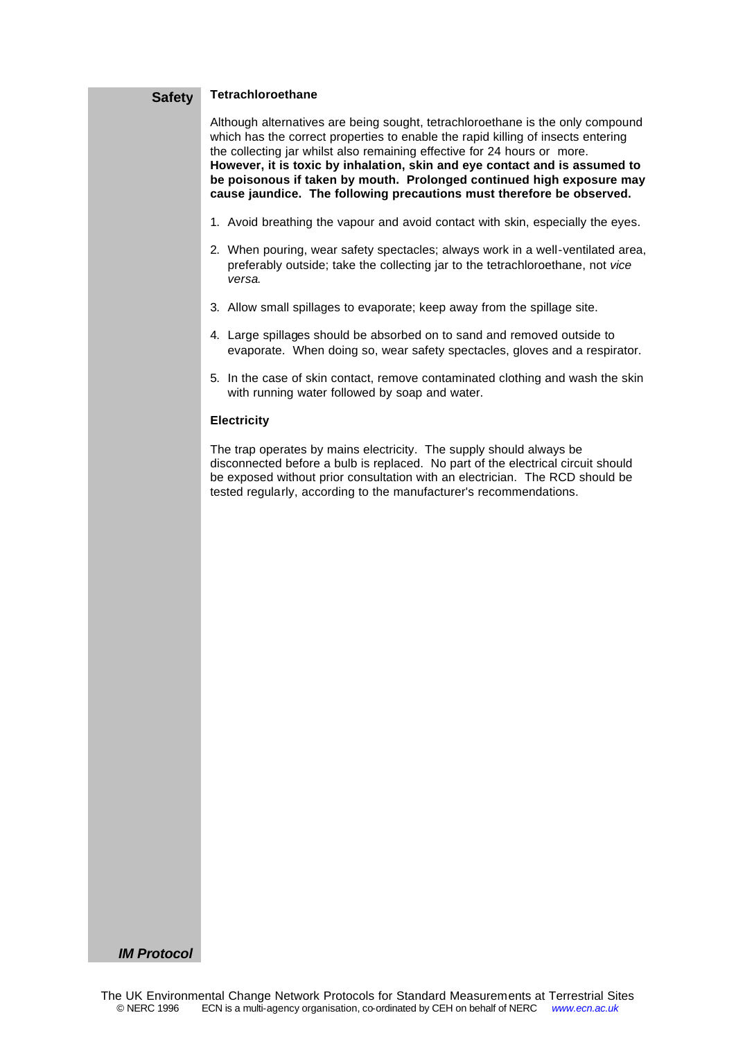#### **Tetrachloroethane Safety**

Although alternatives are being sought, tetrachloroethane is the only compound which has the correct properties to enable the rapid killing of insects entering the collecting jar whilst also remaining effective for 24 hours or more. **However, it is toxic by inhalation, skin and eye contact and is assumed to be poisonous if taken by mouth. Prolonged continued high exposure may cause jaundice. The following precautions must therefore be observed.**

- 1. Avoid breathing the vapour and avoid contact with skin, especially the eyes.
- 2. When pouring, wear safety spectacles; always work in a well-ventilated area, preferably outside; take the collecting jar to the tetrachloroethane, not *vice versa*.
- 3. Allow small spillages to evaporate; keep away from the spillage site.
- 4. Large spillages should be absorbed on to sand and removed outside to evaporate. When doing so, wear safety spectacles, gloves and a respirator.
- 5. In the case of skin contact, remove contaminated clothing and wash the skin with running water followed by soap and water.

#### **Electricity**

The trap operates by mains electricity. The supply should always be disconnected before a bulb is replaced. No part of the electrical circuit should be exposed without prior consultation with an electrician. The RCD should be tested regularly, according to the manufacturer's recommendations.

### *IM Protocol*